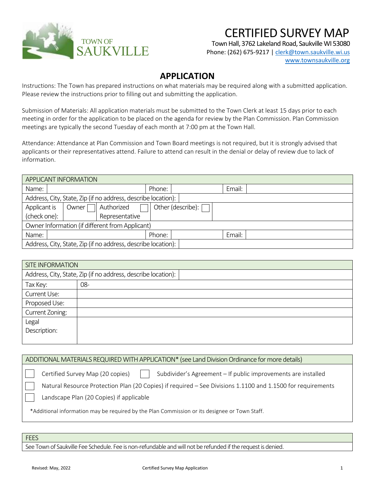

## CERTIFIED SURVEY MAP

Town Hall, 3762 Lakeland Road, Saukville WI 53080

Phone: (262) 675-9217 [| clerk@town.saukville.wi.us](mailto:clerk@town.saukville.wi.us) [www.townsaukville.org](http://www.townsaukville.org/)

## **APPLICATION**

Instructions: The Town has prepared instructions on what materials may be required along with a submitted application. Please review the instructions prior to filling out and submitting the application.

Submission of Materials: All application materials must be submitted to the Town Clerk at least 15 days prior to each meeting in order for the application to be placed on the agenda for review by the Plan Commission. Plan Commission meetings are typically the second Tuesday of each month at 7:00 pm at the Town Hall.

Attendance: Attendance at Plan Commission and Town Board meetings is not required, but it is strongly advised that applicants or their representatives attend. Failure to attend can result in the denial or delay of review due to lack of information.

| APPLICANT INFORMATION                                         |        |                     |        |  |
|---------------------------------------------------------------|--------|---------------------|--------|--|
| Name:                                                         | Phone: |                     | Email: |  |
| Address, City, State, Zip (if no address, describe location): |        |                     |        |  |
| Authorized<br>Applicant is<br>Owner                           |        | Other (describe): [ |        |  |
| (check one):<br>Representative                                |        |                     |        |  |
| Owner Information (if different from Applicant)               |        |                     |        |  |
| Name:                                                         | Phone: |                     | Email: |  |
| Address, City, State, Zip (if no address, describe location): |        |                     |        |  |

| <b>SITE INFORMATION</b> |                                                               |  |
|-------------------------|---------------------------------------------------------------|--|
|                         | Address, City, State, Zip (if no address, describe location): |  |
| Tax Key:                | 08-                                                           |  |
| Current Use:            |                                                               |  |
| Proposed Use:           |                                                               |  |
| Current Zoning:         |                                                               |  |
| Legal                   |                                                               |  |
| Description:            |                                                               |  |
|                         |                                                               |  |

|  | ADDITIONAL MATERIALS REQUIRED WITH APPLICATION* (see Land Division Ordinance for more details) |
|--|------------------------------------------------------------------------------------------------|
|  |                                                                                                |

Certified Survey Map (20 copies)

Subdivider's Agreement – If public improvements are installed

Natural Resource Protection Plan (20 Copies) if required – See Divisions 1.1100 and 1.1500 for requirements

Landscape Plan (20 Copies) if applicable

\*Additional information may be required by the Plan Commission or its designee or Town Staff.

## **FEES**

See Town of Saukville Fee Schedule. Fee is non-refundable and will not be refunded if the request is denied.